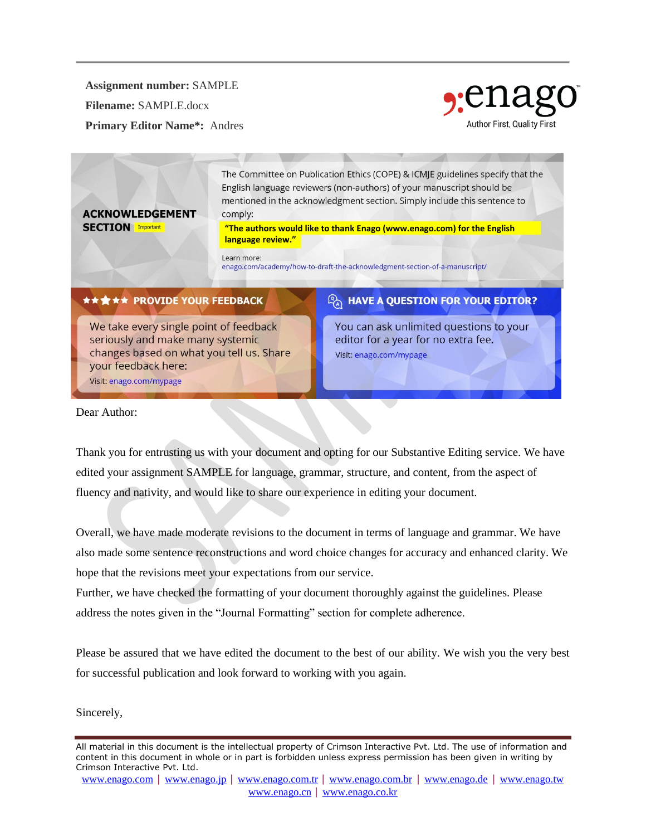**Assignment number:** SAMPLE

**Filename:** SAMPLE.docx

**ACKNOWLEDGEMENT** 

**SECTION** Important

**Primary Editor Name\*:** Andres



The Committee on Publication Ethics (COPE) & ICMJE guidelines specify that the English language reviewers (non-authors) of your manuscript should be mentioned in the acknowledgment section. Simply include this sentence to comply:

**["The authors would like to thank Enago \(](http://www.enago.com/academy/how-to-draft-the-acknowledgment-section-of-a-manuscript/)[www.enago.com\)](chrome-extension://flock.co/client_base/apps/conversation/www.enago.com) for the English language review."**

Learn more:

enago.com/academy/how-to-draft-the-acknowledgment-section-of-a-manuscript/

### **★★★★★ PROVIDE YOUR FEEDBACK**

We take every single point of feedback seriously and make many systemic changes based on what you tell us. Share your feedback here: Visit: enago.com/mypage

## $\mathcal{P}_\lambda$  have a question for your editor?

You can ask unlimited questions to your editor for a year for no extra fee. Visit: enago.com/mypage

Dear Author:

Thank you for entrusting us with your document and opting for our Substantive Editing service. We have edited your assignment SAMPLE for language, grammar, structure, and content, from the aspect of fluency and nativity, and would like to share our experience in editing your document.

Overall, we have made moderate revisions to the document in terms of language and grammar. We have also made some sentence reconstructions and word choice changes for accuracy and enhanced clarity. We hope that the revisions meet your expectations from our service.

Further, we have checked the formatting of your document thoroughly against the guidelines. Please address the notes given in the "Journal Formatting" section for complete adherence.

Please be assured that we have edited the document to the best of our ability. We wish you the very best for successful publication and look forward to working with you again.

Sincerely,

All material in this document is the intellectual property of Crimson Interactive Pvt. Ltd. The use of information and content in this document in whole or in part is forbidden unless express permission has been given in writing by Crimson Interactive Pvt. Ltd.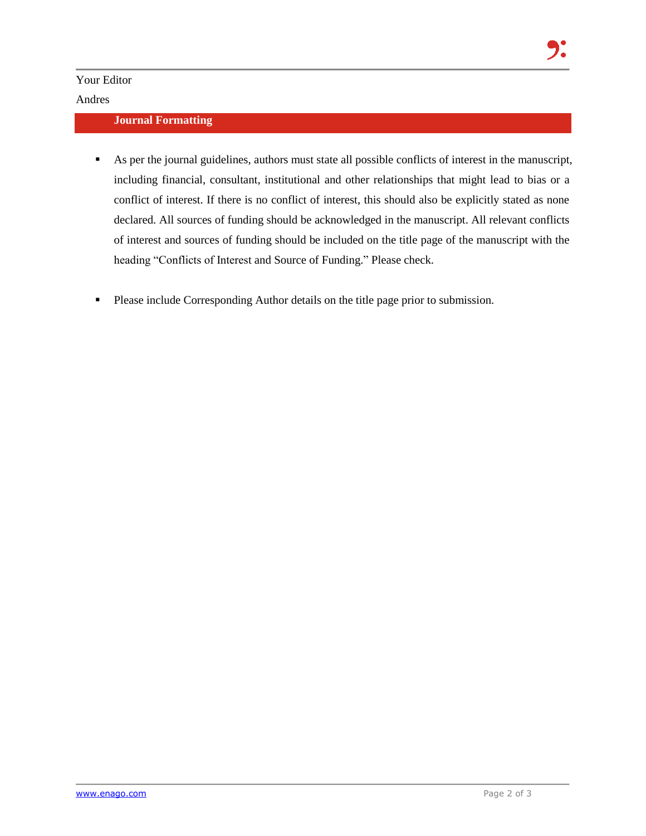Your Editor

#### Andres

#### **Journal Formatting**

- As per the journal guidelines, authors must state all possible conflicts of interest in the manuscript, including financial, consultant, institutional and other relationships that might lead to bias or a conflict of interest. If there is no conflict of interest, this should also be explicitly stated as none declared. All sources of funding should be acknowledged in the manuscript. All relevant conflicts of interest and sources of funding should be included on the title page of the manuscript with the heading "Conflicts of Interest and Source of Funding." Please check.
- **Please include Corresponding Author details on the title page prior to submission.**